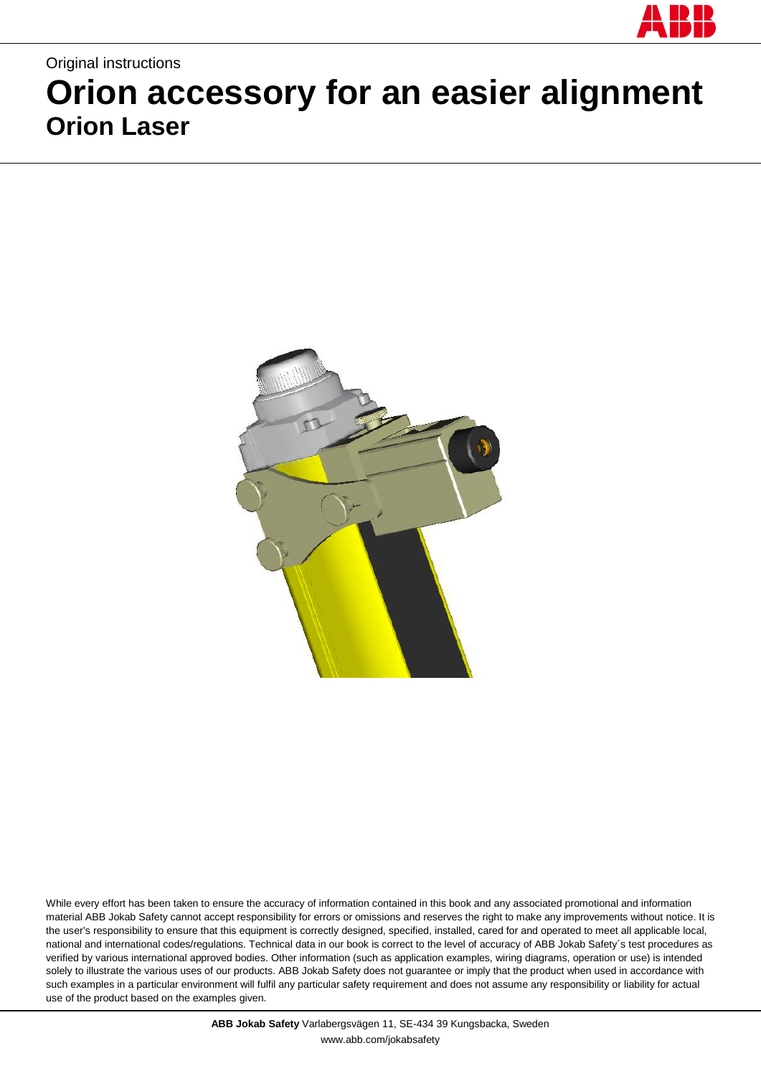

# Original instructions **Orion accessory for an easier alignment Orion Laser**



While every effort has been taken to ensure the accuracy of information contained in this book and any associated promotional and information material ABB Jokab Safety cannot accept responsibility for errors or omissions and reserves the right to make any improvements without notice. It is the user's responsibility to ensure that this equipment is correctly designed, specified, installed, cared for and operated to meet all applicable local, national and international codes/regulations. Technical data in our book is correct to the level of accuracy of ABB Jokab Safety´s test procedures as verified by various international approved bodies. Other information (such as application examples, wiring diagrams, operation or use) is intended solely to illustrate the various uses of our products. ABB Jokab Safety does not guarantee or imply that the product when used in accordance with such examples in a particular environment will fulfil any particular safety requirement and does not assume any responsibility or liability for actual use of the product based on the examples given.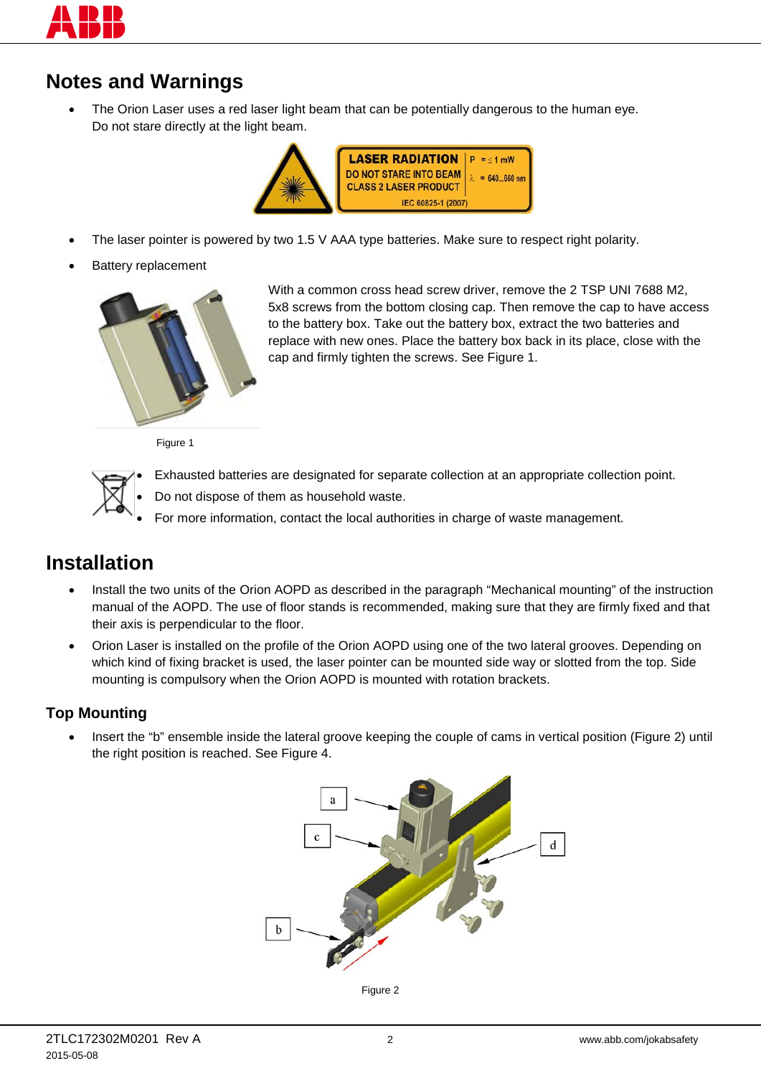

# **Notes and Warnings**

The Orion Laser uses a red laser light beam that can be potentially dangerous to the human eye. Do not stare directly at the light beam.



- The laser pointer is powered by two 1.5 V AAA type batteries. Make sure to respect right polarity.
- **Battery replacement**



With a common cross head screw driver, remove the 2 TSP UNI 7688 M2, 5x8 screws from the bottom closing cap. Then remove the cap to have access to the battery box. Take out the battery box, extract the two batteries and replace with new ones. Place the battery box back in its place, close with the cap and firmly tighten the screws. See [Figure 1.](#page-1-0)

Figure 1

<span id="page-1-0"></span>

• Exhausted batteries are designated for separate collection at an appropriate collection point.

- Do not dispose of them as household waste.
- For more information, contact the local authorities in charge of waste management.

### **Installation**

- Install the two units of the Orion AOPD as described in the paragraph "Mechanical mounting" of the instruction manual of the AOPD. The use of floor stands is recommended, making sure that they are firmly fixed and that their axis is perpendicular to the floor.
- Orion Laser is installed on the profile of the Orion AOPD using one of the two lateral grooves. Depending on which kind of fixing bracket is used, the laser pointer can be mounted side way or slotted from the top. Side mounting is compulsory when the Orion AOPD is mounted with rotation brackets.

#### **Top Mounting**

<span id="page-1-1"></span>• Insert the "b" ensemble inside the lateral groove keeping the couple of cams in vertical position [\(Figure 2\)](#page-1-1) until the right position is reached. See [Figure 4.](#page-2-0)



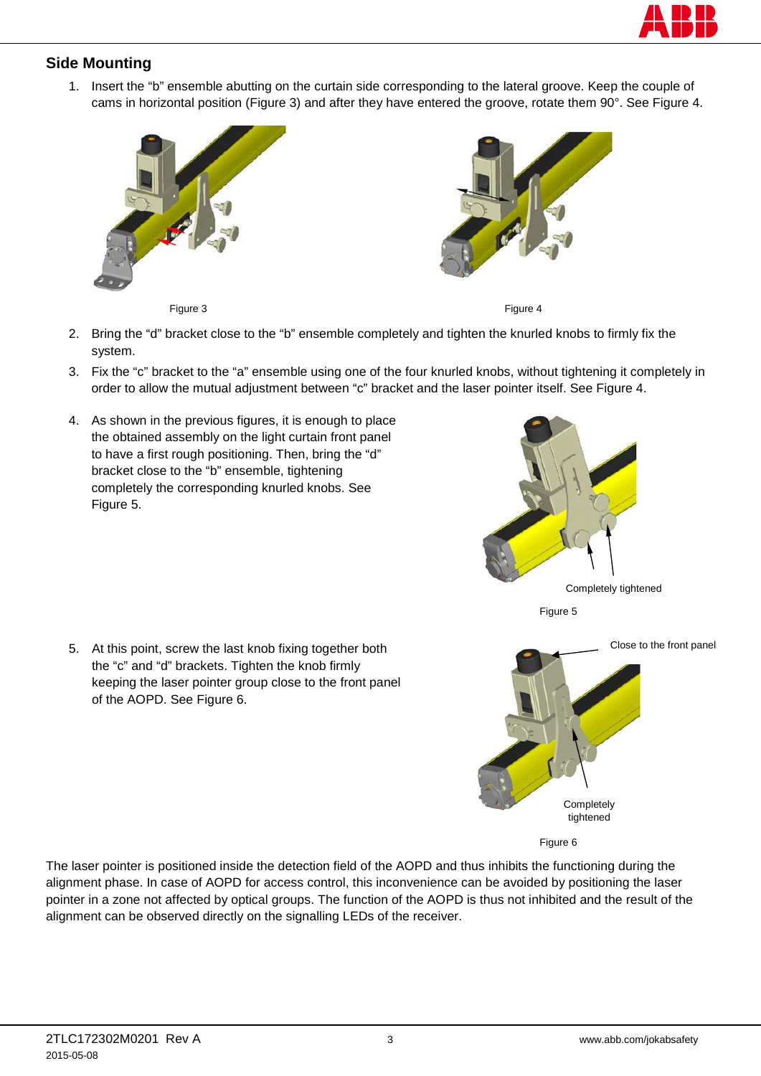

#### **Side Mounting**

1. Insert the "b" ensemble abutting on the curtain side corresponding to the lateral groove. Keep the couple of cams in horizontal position [\(Figure 3\)](#page-2-1) and after they have entered the groove, rotate them 90°. See [Figure 4.](#page-2-0)



Figure 3 Figure 4

- <span id="page-2-1"></span>2. Bring the "d" bracket close to the "b" ensemble completely and tighten the knurled knobs to firmly fix the system.
- 3. Fix the "c" bracket to the "a" ensemble using one of the four knurled knobs, without tightening it completely in order to allow the mutual adjustment between "c" bracket and the laser pointer itself. See [Figure 4.](#page-2-0)
- 4. As shown in the previous figures, it is enough to place the obtained assembly on the light curtain front panel to have a first rough positioning. Then, bring the "d" bracket close to the "b" ensemble, tightening completely the corresponding knurled knobs. See [Figure 5.](#page-2-2)



<span id="page-2-0"></span>

<span id="page-2-2"></span>

<span id="page-2-3"></span>

The laser pointer is positioned inside the detection field of the AOPD and thus inhibits the functioning during the alignment phase. In case of AOPD for access control, this inconvenience can be avoided by positioning the laser pointer in a zone not affected by optical groups. The function of the AOPD is thus not inhibited and the result of the alignment can be observed directly on the signalling LEDs of the receiver.